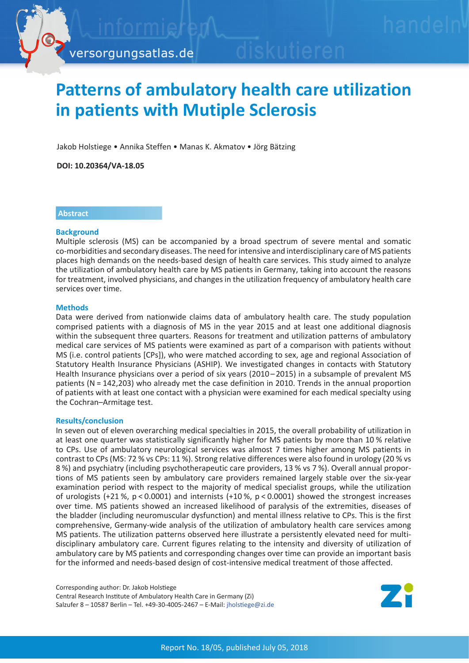

# **Patterns of ambulatory health care utilization in patients with Mutiple Sclerosis**

Jakob Holstiege • Annika Steffen • Manas K. Akmatov • Jörg Bätzing

**DOI: 10.20364/VA-18.05**

### **Abstract**

#### **Background**

Multiple sclerosis (MS) can be accompanied by a broad spectrum of severe mental and somatic co-morbidities and secondary diseases. The need for intensive and interdisciplinary care of MS patients places high demands on the needs-based design of health care services. This study aimed to analyze the utilization of ambulatory health care by MS patients in Germany, taking into account the reasons for treatment, involved physicians, and changes in the utilization frequency of ambulatory health care services over time.

#### **Methods**

Data were derived from nationwide claims data of ambulatory health care. The study population comprised patients with a diagnosis of MS in the year 2015 and at least one additional diagnosis within the subsequent three quarters. Reasons for treatment and utilization patterns of ambulatory medical care services of MS patients were examined as part of a comparison with patients without MS (i.e. control patients [CPs]), who were matched according to sex, age and regional Association of Statutory Health Insurance Physicians (ASHIP). We investigated changes in contacts with Statutory Health Insurance physicians over a period of six years (2010–2015) in a subsample of prevalent MS patients (N = 142,203) who already met the case definition in 2010. Trends in the annual proportion of patients with at least one contact with a physician were examined for each medical specialty using the Cochran–Armitage test.

#### **Results/conclusion**

In seven out of eleven overarching medical specialties in 2015, the overall probability of utilization in at least one quarter was statistically significantly higher for MS patients by more than 10 % relative to CPs. Use of ambulatory neurological services was almost 7 times higher among MS patients in contrast to CPs (MS: 72 % vs CPs: 11 %). Strong relative differences were also found in urology (20 % vs 8 %) and psychiatry (including psychotherapeutic care providers, 13 % vs 7 %). Overall annual proportions of MS patients seen by ambulatory care providers remained largely stable over the six-year examination period with respect to the majority of medical specialist groups, while the utilization of urologists (+21 %, p < 0.0001) and internists (+10 %, p < 0.0001) showed the strongest increases over time. MS patients showed an increased likelihood of paralysis of the extremities, diseases of the bladder (including neuromuscular dysfunction) and mental illness relative to CPs. This is the first comprehensive, Germany-wide analysis of the utilization of ambulatory health care services among MS patients. The utilization patterns observed here illustrate a persistently elevated need for multidisciplinary ambulatory care. Current figures relating to the intensity and diversity of utilization of ambulatory care by MS patients and corresponding changes over time can provide an important basis for the informed and needs-based design of cost-intensive medical treatment of those affected.

Corresponding author: Dr. Jakob Holstiege Central Research Institute of Ambulatory Health Care in Germany (Zi) Salzufer 8 – 10587 Berlin – Tel. +49-30-4005-2467 – E-Mail: [jholstiege@zi.de](mailto:jholstiege%40zi.de?subject=VA-Bericht%2018-05%20Multiple%20Sklerose)